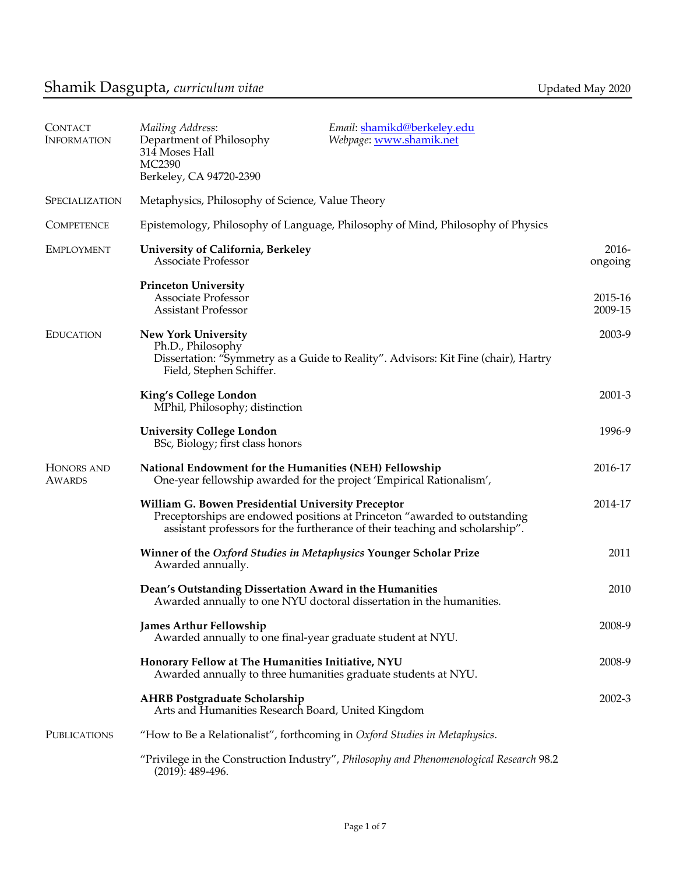| <b>CONTACT</b><br><b>INFORMATION</b> | Mailing Address:<br>Department of Philosophy<br>314 Moses Hall<br><b>MC2390</b><br>Berkeley, CA 94720-2390          | Email: shamikd@berkeley.edu<br>Webpage: www.shamik.net                                                                                                    |                     |
|--------------------------------------|---------------------------------------------------------------------------------------------------------------------|-----------------------------------------------------------------------------------------------------------------------------------------------------------|---------------------|
| <b>SPECIALIZATION</b>                | Metaphysics, Philosophy of Science, Value Theory                                                                    |                                                                                                                                                           |                     |
| <b>COMPETENCE</b>                    | Epistemology, Philosophy of Language, Philosophy of Mind, Philosophy of Physics                                     |                                                                                                                                                           |                     |
| <b>EMPLOYMENT</b>                    | University of California, Berkeley<br><b>Associate Professor</b>                                                    |                                                                                                                                                           | $2016 -$<br>ongoing |
|                                      | <b>Princeton University</b><br><b>Associate Professor</b><br><b>Assistant Professor</b>                             |                                                                                                                                                           | 2015-16<br>2009-15  |
| <b>EDUCATION</b>                     | <b>New York University</b><br>Ph.D., Philosophy<br>Field, Stephen Schiffer.                                         | Dissertation: "Symmetry as a Guide to Reality". Advisors: Kit Fine (chair), Hartry                                                                        | 2003-9              |
|                                      | King's College London<br>MPhil, Philosophy; distinction                                                             |                                                                                                                                                           | $2001 - 3$          |
|                                      | <b>University College London</b><br>BSc, Biology; first class honors                                                |                                                                                                                                                           | 1996-9              |
| HONORS AND<br><b>AWARDS</b>          | National Endowment for the Humanities (NEH) Fellowship                                                              | One-year fellowship awarded for the project 'Empirical Rationalism',                                                                                      | 2016-17             |
|                                      | <b>William G. Bowen Presidential University Preceptor</b>                                                           | Preceptorships are endowed positions at Princeton "awarded to outstanding<br>assistant professors for the furtherance of their teaching and scholarship". | 2014-17             |
|                                      | Winner of the Oxford Studies in Metaphysics Younger Scholar Prize<br>Awarded annually.                              |                                                                                                                                                           | 2011                |
|                                      | Dean's Outstanding Dissertation Award in the Humanities                                                             | Awarded annually to one NYU doctoral dissertation in the humanities.                                                                                      | 2010                |
|                                      | <b>James Arthur Fellowship</b><br>Awarded annually to one final-year graduate student at NYU.                       |                                                                                                                                                           | 2008-9              |
|                                      | Honorary Fellow at The Humanities Initiative, NYU<br>Awarded annually to three humanities graduate students at NYU. |                                                                                                                                                           | 2008-9              |
|                                      | <b>AHRB Postgraduate Scholarship</b><br>Arts and Humanities Research Board, United Kingdom                          |                                                                                                                                                           | 2002-3              |
| <b>PUBLICATIONS</b>                  | "How to Be a Relationalist", forthcoming in Oxford Studies in Metaphysics.                                          |                                                                                                                                                           |                     |
|                                      | $(2019): 489-496.$                                                                                                  | "Privilege in the Construction Industry", Philosophy and Phenomenological Research 98.2                                                                   |                     |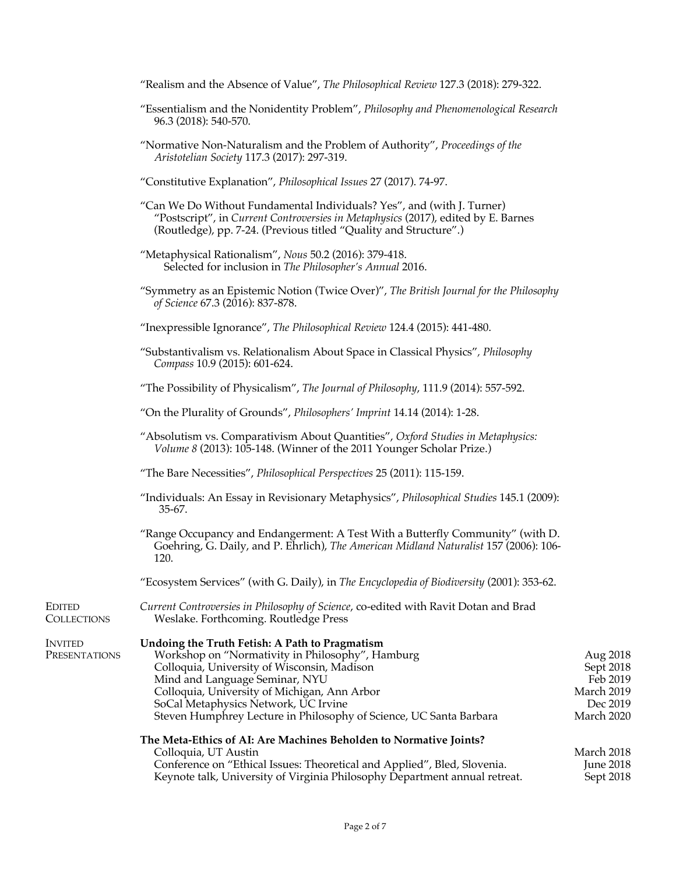"Realism and the Absence of Value", *The Philosophical Review* 127.3 (2018): 279-322.

- "Essentialism and the Nonidentity Problem", *Philosophy and Phenomenological Research* 96.3 (2018): 540-570.
- "Normative Non-Naturalism and the Problem of Authority", *Proceedings of the Aristotelian Society* 117.3 (2017): 297-319.
- "Constitutive Explanation", *Philosophical Issues* 27 (2017). 74-97.
- "Can We Do Without Fundamental Individuals? Yes", and (with J. Turner) "Postscript", in *Current Controversies in Metaphysics* (2017), edited by E. Barnes (Routledge), pp. 7-24. (Previous titled "Quality and Structure".)
- "Metaphysical Rationalism", *Nous* 50.2 (2016): 379-418. Selected for inclusion in *The Philosopher's Annual* 2016.
- "Symmetry as an Epistemic Notion (Twice Over)", *The British Journal for the Philosophy of Science* 67.3 (2016): 837-878.
- "Inexpressible Ignorance", *The Philosophical Review* 124.4 (2015): 441-480.
- "Substantivalism vs. Relationalism About Space in Classical Physics"*, Philosophy Compass* 10.9 (2015): 601-624.
- "The Possibility of Physicalism", *The Journal of Philosophy*, 111.9 (2014): 557-592.
- "On the Plurality of Grounds", *Philosophers' Imprint* 14.14 (2014): 1-28.
- "Absolutism vs. Comparativism About Quantities", *Oxford Studies in Metaphysics: Volume 8* (2013): 105-148. (Winner of the 2011 Younger Scholar Prize.)
- "The Bare Necessities", *Philosophical Perspectives* 25 (2011): 115-159.

EDITED **COLLECTIONS** 

- "Individuals: An Essay in Revisionary Metaphysics", *Philosophical Studies* 145.1 (2009): 35-67.
- "Range Occupancy and Endangerment: A Test With a Butterfly Community" (with D. Goehring, G. Daily, and P. Ehrlich), *The American Midland Naturalist* 157 (2006): 106- 120.

"Ecosystem Services" (with G. Daily), in *The Encyclopedia of Biodiversity* (2001): 353-62.

*Current Controversies in Philosophy of Science*, co-edited with Ravit Dotan and Brad Weslake. Forthcoming. Routledge Press

| <b>INVITED</b> | Undoing the Truth Fetish: A Path to Pragmatism                           |                  |
|----------------|--------------------------------------------------------------------------|------------------|
| PRESENTATIONS  | Workshop on "Normativity in Philosophy", Hamburg                         | Aug 2018         |
|                | Colloquia, University of Wisconsin, Madison                              | Sept 2018        |
|                | Mind and Language Seminar, NYU                                           | Feb 2019         |
|                | Colloquia, University of Michigan, Ann Arbor                             | March 2019       |
|                | SoCal Metaphysics Network, UC Irvine                                     | Dec 2019         |
|                | Steven Humphrey Lecture in Philosophy of Science, UC Santa Barbara       | March 2020       |
|                | The Meta-Ethics of AI: Are Machines Beholden to Normative Joints?        |                  |
|                | Colloquia, UT Austin                                                     | March 2018       |
|                | Conference on "Ethical Issues: Theoretical and Applied", Bled, Slovenia. | <b>June 2018</b> |

Keynote talk, University of Virginia Philosophy Department annual retreat. Sept 2018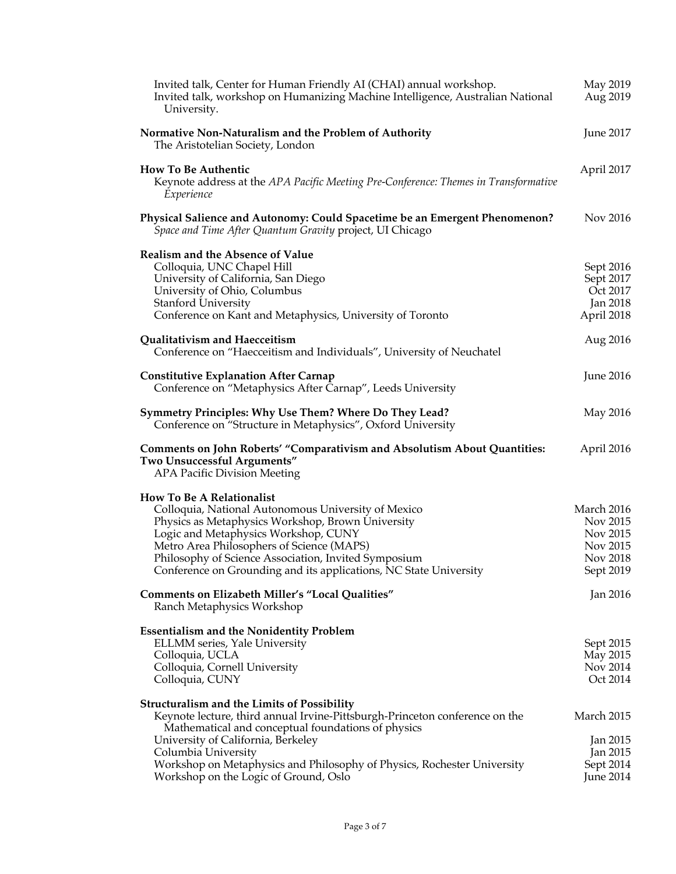| Invited talk, Center for Human Friendly AI (CHAI) annual workshop.<br>Invited talk, workshop on Humanizing Machine Intelligence, Australian National<br>University. | May 2019<br>Aug 2019  |
|---------------------------------------------------------------------------------------------------------------------------------------------------------------------|-----------------------|
| Normative Non-Naturalism and the Problem of Authority<br>The Aristotelian Society, London                                                                           | June 2017             |
| <b>How To Be Authentic</b><br>Keynote address at the APA Pacific Meeting Pre-Conference: Themes in Transformative<br>Experience                                     | April 2017            |
| Physical Salience and Autonomy: Could Spacetime be an Emergent Phenomenon?<br>Space and Time After Quantum Gravity project, UI Chicago                              | Nov 2016              |
| <b>Realism and the Absence of Value</b>                                                                                                                             |                       |
| Colloquia, UNC Chapel Hill                                                                                                                                          | Sept 2016             |
| University of California, San Diego<br>University of Ohio, Columbus                                                                                                 | Sept 2017<br>Oct 2017 |
| <b>Stanford University</b>                                                                                                                                          | <b>Jan 2018</b>       |
| Conference on Kant and Metaphysics, University of Toronto                                                                                                           | April 2018            |
| Qualitativism and Haecceitism                                                                                                                                       | Aug 2016              |
| Conference on "Haecceitism and Individuals", University of Neuchatel                                                                                                |                       |
| <b>Constitutive Explanation After Carnap</b><br>Conference on "Metaphysics After Carnap", Leeds University                                                          | <b>June 2016</b>      |
| Symmetry Principles: Why Use Them? Where Do They Lead?<br>Conference on "Structure in Metaphysics", Oxford University                                               | May 2016              |
| <b>Comments on John Roberts' "Comparativism and Absolutism About Quantities:</b><br>Two Unsuccessful Arguments"<br><b>APA Pacific Division Meeting</b>              | April 2016            |
| <b>How To Be A Relationalist</b>                                                                                                                                    |                       |
| Colloquia, National Autonomous University of Mexico                                                                                                                 | March 2016            |
| Physics as Metaphysics Workshop, Brown University                                                                                                                   | Nov 2015              |
| Logic and Metaphysics Workshop, CUNY                                                                                                                                | Nov 2015              |
| Metro Area Philosophers of Science (MAPS)                                                                                                                           | Nov 2015              |
| Philosophy of Science Association, Invited Symposium<br>Conference on Grounding and its applications, NC State University                                           | Nov 2018<br>Sept 2019 |
| Comments on Elizabeth Miller's "Local Qualities"<br>Ranch Metaphysics Workshop                                                                                      | <b>Jan 2016</b>       |
| <b>Essentialism and the Nonidentity Problem</b>                                                                                                                     |                       |
| ELLMM series, Yale University                                                                                                                                       | Sept 2015             |
| Colloquia, UCLA                                                                                                                                                     | May 2015              |
| Colloquia, Cornell University<br>Colloquia, CUNY                                                                                                                    | Nov 2014<br>Oct 2014  |
| <b>Structuralism and the Limits of Possibility</b>                                                                                                                  |                       |
| Keynote lecture, third annual Irvine-Pittsburgh-Princeton conference on the                                                                                         | March 2015            |
| Mathematical and conceptual foundations of physics<br>University of California, Berkeley                                                                            | Jan 2015              |
| Columbia University                                                                                                                                                 | Jan 2015              |
| Workshop on Metaphysics and Philosophy of Physics, Rochester University                                                                                             | Sept 2014             |
| Workshop on the Logic of Ground, Oslo                                                                                                                               | <b>June 2014</b>      |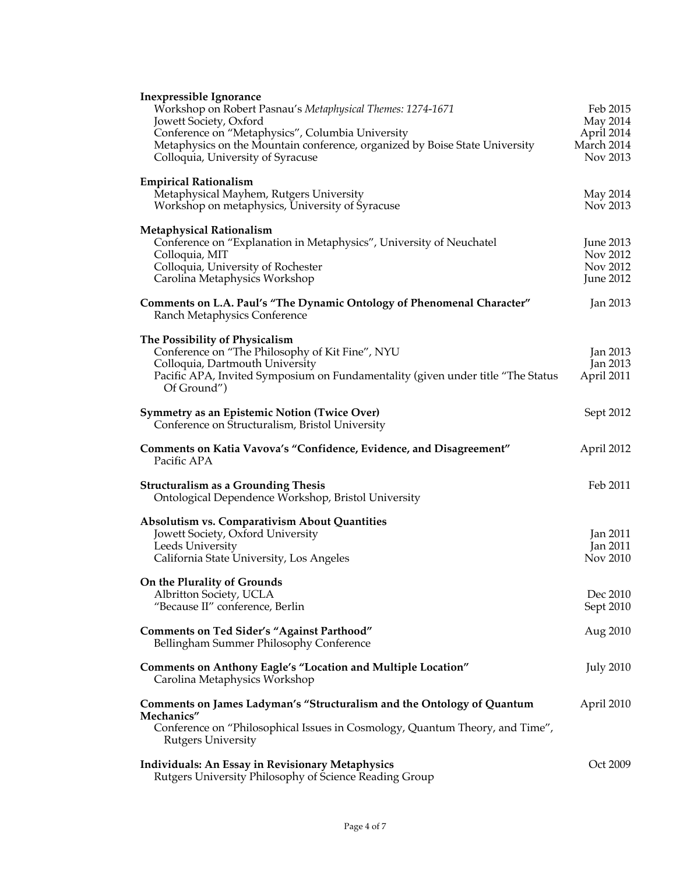| <b>Inexpressible Ignorance</b><br>Workshop on Robert Pasnau's Metaphysical Themes: 1274-1671<br>Jowett Society, Oxford                                                                                                 | Feb 2015<br>May 2014                           |
|------------------------------------------------------------------------------------------------------------------------------------------------------------------------------------------------------------------------|------------------------------------------------|
| Conference on "Metaphysics", Columbia University<br>Metaphysics on the Mountain conference, organized by Boise State University<br>Colloquia, University of Syracuse                                                   | April 2014<br>March 2014<br>Nov 2013           |
| <b>Empirical Rationalism</b><br>Metaphysical Mayhem, Rutgers University<br>Workshop on metaphysics, University of Syracuse                                                                                             | May 2014<br>Nov 2013                           |
| <b>Metaphysical Rationalism</b><br>Conference on "Explanation in Metaphysics", University of Neuchatel<br>Colloquia, MIT<br>Colloquia, University of Rochester<br>Carolina Metaphysics Workshop                        | June 2013<br>Nov 2012<br>Nov 2012<br>June 2012 |
| Comments on L.A. Paul's "The Dynamic Ontology of Phenomenal Character"<br>Ranch Metaphysics Conference                                                                                                                 | Jan 2013                                       |
| The Possibility of Physicalism<br>Conference on "The Philosophy of Kit Fine", NYU<br>Colloquia, Dartmouth University<br>Pacific APA, Invited Symposium on Fundamentality (given under title "The Status<br>Of Ground") | Jan 2013<br>Jan 2013<br>April 2011             |
| <b>Symmetry as an Epistemic Notion (Twice Over)</b><br>Conference on Structuralism, Bristol University                                                                                                                 | Sept 2012                                      |
| Comments on Katia Vavova's "Confidence, Evidence, and Disagreement"<br>Pacific APA                                                                                                                                     | April 2012                                     |
| <b>Structuralism as a Grounding Thesis</b><br>Ontological Dependence Workshop, Bristol University                                                                                                                      | Feb 2011                                       |
| <b>Absolutism vs. Comparativism About Quantities</b><br>Jowett Society, Oxford University<br>Leeds University<br>California State University, Los Angeles                                                              | Jan 2011<br>Jan 2011<br>Nov 2010               |
| On the Plurality of Grounds<br>Albritton Society, UCLA<br>"Because II" conference, Berlin                                                                                                                              | Dec 2010<br>Sept 2010                          |
| <b>Comments on Ted Sider's "Against Parthood"</b><br>Bellingham Summer Philosophy Conference                                                                                                                           | Aug 2010                                       |
| <b>Comments on Anthony Eagle's "Location and Multiple Location"</b><br>Carolina Metaphysics Workshop                                                                                                                   | <b>July 2010</b>                               |
| Comments on James Ladyman's "Structuralism and the Ontology of Quantum<br>Mechanics"<br>Conference on "Philosophical Issues in Cosmology, Quantum Theory, and Time",<br><b>Rutgers University</b>                      | April 2010                                     |
| <b>Individuals: An Essay in Revisionary Metaphysics</b><br>Rutgers University Philosophy of Science Reading Group                                                                                                      | Oct 2009                                       |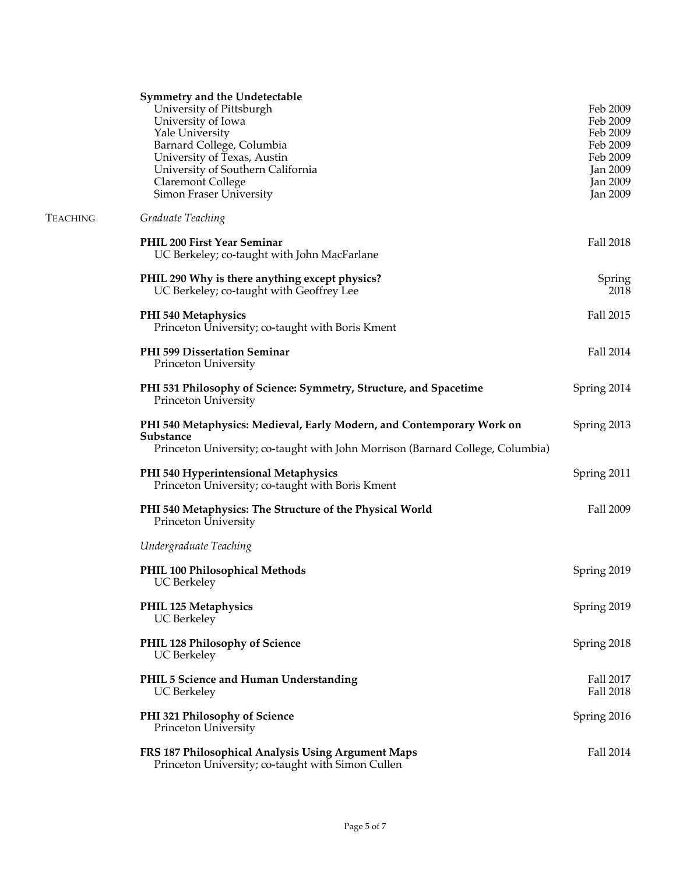|          | Symmetry and the Undetectable<br>University of Pittsburgh<br>University of Iowa<br>Yale University<br>Barnard College, Columbia<br>University of Texas, Austin<br>University of Southern California<br><b>Claremont College</b><br>Simon Fraser University | Feb 2009<br>Feb 2009<br>Feb 2009<br>Feb 2009<br>Feb 2009<br>Jan 2009<br>Jan 2009<br><b>Jan 2009</b> |
|----------|------------------------------------------------------------------------------------------------------------------------------------------------------------------------------------------------------------------------------------------------------------|-----------------------------------------------------------------------------------------------------|
| Teaching | Graduate Teaching                                                                                                                                                                                                                                          |                                                                                                     |
|          | PHIL 200 First Year Seminar<br>UC Berkeley; co-taught with John MacFarlane                                                                                                                                                                                 | Fall 2018                                                                                           |
|          | PHIL 290 Why is there anything except physics?<br>UC Berkeley; co-taught with Geoffrey Lee                                                                                                                                                                 | Spring<br>2018                                                                                      |
|          | PHI 540 Metaphysics<br>Princeton University; co-taught with Boris Kment                                                                                                                                                                                    | Fall 2015                                                                                           |
|          | <b>PHI 599 Dissertation Seminar</b><br>Princeton University                                                                                                                                                                                                | Fall 2014                                                                                           |
|          | PHI 531 Philosophy of Science: Symmetry, Structure, and Spacetime<br>Princeton University                                                                                                                                                                  | Spring 2014                                                                                         |
|          | PHI 540 Metaphysics: Medieval, Early Modern, and Contemporary Work on<br>Substance<br>Princeton University; co-taught with John Morrison (Barnard College, Columbia)                                                                                       | Spring 2013                                                                                         |
|          | PHI 540 Hyperintensional Metaphysics<br>Princeton University; co-taught with Boris Kment                                                                                                                                                                   | Spring 2011                                                                                         |
|          | PHI 540 Metaphysics: The Structure of the Physical World<br>Princeton University                                                                                                                                                                           | Fall 2009                                                                                           |
|          | Undergraduate Teaching                                                                                                                                                                                                                                     |                                                                                                     |
|          | PHIL 100 Philosophical Methods<br>UC Berkeley                                                                                                                                                                                                              | Spring 2019                                                                                         |
|          | PHIL 125 Metaphysics<br><b>UC</b> Berkeley                                                                                                                                                                                                                 | Spring 2019                                                                                         |
|          | PHIL 128 Philosophy of Science<br><b>UC</b> Berkeley                                                                                                                                                                                                       | Spring 2018                                                                                         |
|          | PHIL 5 Science and Human Understanding<br><b>UC</b> Berkeley                                                                                                                                                                                               | Fall 2017<br>Fall 2018                                                                              |
|          | PHI 321 Philosophy of Science<br>Princeton University                                                                                                                                                                                                      | Spring 2016                                                                                         |
|          | FRS 187 Philosophical Analysis Using Argument Maps<br>Princeton University; co-taught with Simon Cullen                                                                                                                                                    | Fall 2014                                                                                           |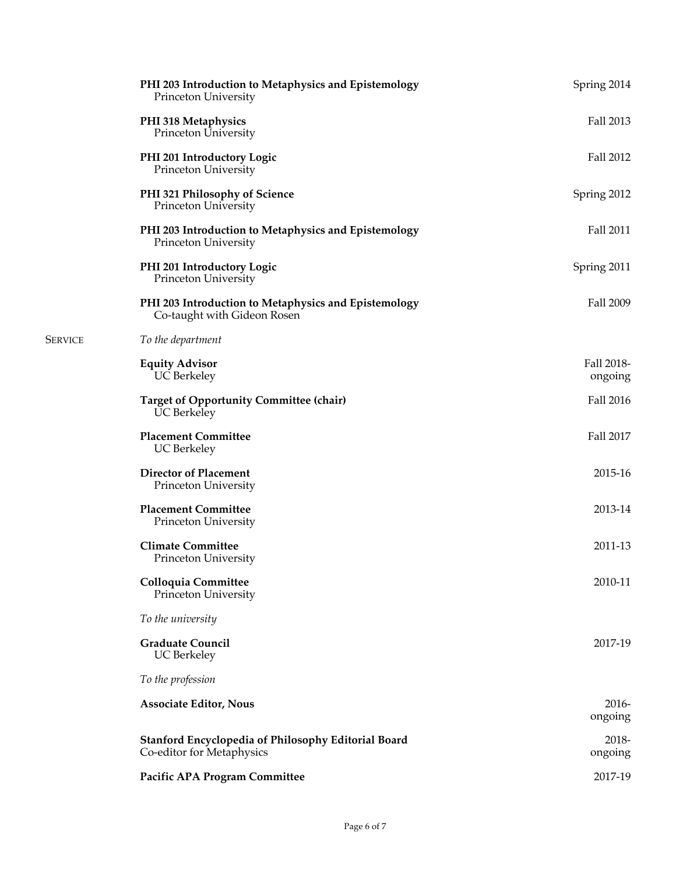| PHI 203 Introduction to Metaphysics and Epistemology<br>Princeton University            | Spring 2014           |
|-----------------------------------------------------------------------------------------|-----------------------|
| PHI 318 Metaphysics<br>Princeton University                                             | Fall 2013             |
| PHI 201 Introductory Logic<br>Princeton University                                      | Fall 2012             |
| PHI 321 Philosophy of Science<br>Princeton University                                   | Spring 2012           |
| PHI 203 Introduction to Metaphysics and Epistemology<br>Princeton University            | Fall 2011             |
| PHI 201 Introductory Logic<br>Princeton University                                      | Spring 2011           |
| PHI 203 Introduction to Metaphysics and Epistemology<br>Co-taught with Gideon Rosen     | Fall 2009             |
| To the department                                                                       |                       |
| <b>Equity Advisor</b><br><b>UC</b> Berkeley                                             | Fall 2018-<br>ongoing |
| <b>Target of Opportunity Committee (chair)</b><br><b>UC</b> Berkeley                    | Fall 2016             |
| <b>Placement Committee</b><br><b>UC</b> Berkeley                                        | Fall 2017             |
| <b>Director of Placement</b><br>Princeton University                                    | 2015-16               |
| <b>Placement Committee</b><br>Princeton University                                      | 2013-14               |
| <b>Climate Committee</b><br>Princeton University                                        | 2011-13               |
| Colloquia Committee<br>Princeton University                                             | 2010-11               |
| To the university                                                                       |                       |
| <b>Graduate Council</b><br><b>UC</b> Berkeley                                           | 2017-19               |
| To the profession                                                                       |                       |
| <b>Associate Editor, Nous</b>                                                           | $2016 -$<br>ongoing   |
| <b>Stanford Encyclopedia of Philosophy Editorial Board</b><br>Co-editor for Metaphysics | 2018-<br>ongoing      |
| Pacific APA Program Committee                                                           | 2017-19               |

SERVICE